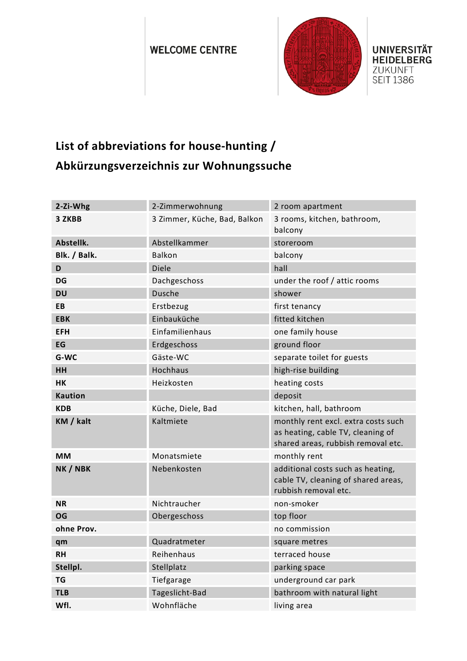## **WELCOME CENTRE**



**UNIVERSITÄT HEIDELBERG** ZUKUNFT **SEIT 1386** 

## **List of abbreviations for house-hunting / Abkürzungsverzeichnis zur Wohnungssuche**

| 2-Zi-Whg       | 2-Zimmerwohnung              | 2 room apartment                                                                                               |
|----------------|------------------------------|----------------------------------------------------------------------------------------------------------------|
| 3 ZKBB         | 3 Zimmer, Küche, Bad, Balkon | 3 rooms, kitchen, bathroom,<br>balcony                                                                         |
| Abstellk.      | Abstellkammer                | storeroom                                                                                                      |
| Blk. / Balk.   | <b>Balkon</b>                | balcony                                                                                                        |
| D              | <b>Diele</b>                 | hall                                                                                                           |
| DG             | Dachgeschoss                 | under the roof / attic rooms                                                                                   |
| <b>DU</b>      | <b>Dusche</b>                | shower                                                                                                         |
| EB             | Erstbezug                    | first tenancy                                                                                                  |
| <b>EBK</b>     | Einbauküche                  | fitted kitchen                                                                                                 |
| <b>EFH</b>     | Einfamilienhaus              | one family house                                                                                               |
| EG             | Erdgeschoss                  | ground floor                                                                                                   |
| G-WC           | Gäste-WC                     | separate toilet for guests                                                                                     |
| <b>HH</b>      | Hochhaus                     | high-rise building                                                                                             |
| <b>HK</b>      | Heizkosten                   | heating costs                                                                                                  |
| <b>Kaution</b> |                              | deposit                                                                                                        |
| <b>KDB</b>     | Küche, Diele, Bad            | kitchen, hall, bathroom                                                                                        |
| KM / kalt      | Kaltmiete                    | monthly rent excl. extra costs such<br>as heating, cable TV, cleaning of<br>shared areas, rubbish removal etc. |
| <b>MM</b>      | Monatsmiete                  | monthly rent                                                                                                   |
| NK / NBK       | Nebenkosten                  | additional costs such as heating,<br>cable TV, cleaning of shared areas,<br>rubbish removal etc.               |
| <b>NR</b>      | Nichtraucher                 | non-smoker                                                                                                     |
| OG             | Obergeschoss                 | top floor                                                                                                      |
| ohne Prov.     |                              | no commission                                                                                                  |
| qm             | Quadratmeter                 | square metres                                                                                                  |
| RH             | Reihenhaus                   | terraced house                                                                                                 |
| Stellpl.       | Stellplatz                   | parking space                                                                                                  |
| <b>TG</b>      | Tiefgarage                   | underground car park                                                                                           |
| <b>TLB</b>     | Tageslicht-Bad               | bathroom with natural light                                                                                    |
| Wfl.           | Wohnfläche                   | living area                                                                                                    |